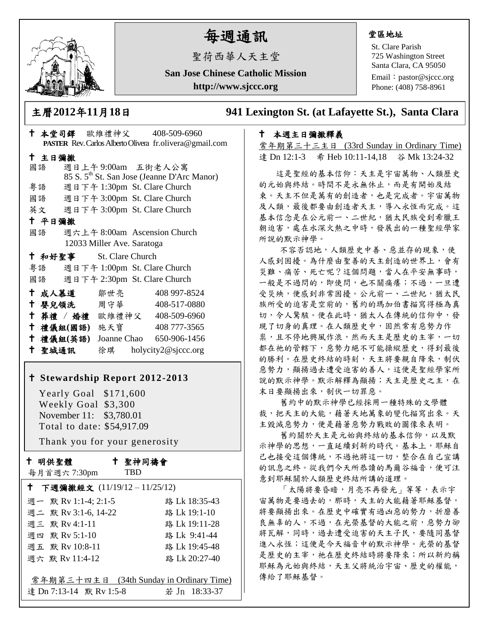

# 每週通訊

聖荷西華人天主堂

**San Jose Chinese Catholic Mission http://www.sjccc.org**

#### 堂區地址

St. Clare Parish 725 Washington Street Santa Clara, CA 95050

Email: [pastor@sjccc.org](mailto:pastor@sjccc.org) Phone: (408) 758-8961

主曆**2012**年**11**月**18**日 **941 Lexington St. (at Lafayette St.), Santa Clara** 

### 本週主日彌撒釋義

常年期第三十三主日 (33rd Sunday in Ordinary Time) 達 Dn 12:1-3 希 Heb 10:11-14,18 谷 Mk 13:24-32

 這是聖經的基本信仰:天主是宇宙萬物、人類歷史 的元始與終結。時間不是永無休止,而是有開始及結 束。天主不但是萬有的創造者,也是完成者。宇宙萬物 及人類,最後都要由創造者天主,導入永恆而完成。這 基本信念是在公元前一、二世紀,猶太民族受到希臘王 朝迫害,處在水深火熱之中時,發展出的一種聖經學家 所說的默示神學。

 不容否認地,人類歷史中善、惡並存的現象,使 人感到困擾。為什麼由聖善的天主創造的世界上,會有 災難、痛苦、死亡呢?這個問題,當人在平安無事時, 一般是不過問的,即使問,也不關痛癢;不過,一旦遭 受災殃,便感到非常困擾。公元前一、二世紀,猶太民 族所受的迫害是空前的,舊約的瑪加伯書描寫得極為真 切,令人驚駭。便在此時,猶太人在傳統的信仰中,發 現了切身的真理。在人類歷史中,固然常有惡勢力作 祟,且不停地興風作浪,然而天主是歷史的主宰,一切 都在祂的管轄下,惡勢力絕不可能操縱歷史,得到最後 的勝利。在歷史終結的時刻,天主將要親自降來,制伏 惡勢力,顯揚過去遭受迫害的善人,這便是聖經學家所 說的默示神學。默示解釋為顯揚;天主是歷史之主,在 末日要顯揚出來,制伏一切罪惡。

 舊約中的默示神學已經採用一種特殊的文學體 裁,把天主的大能,藉著天地萬象的變化描寫出來。天 主毀滅惡勢力,便是藉著惡勢力戰敗的圖像來表明。

 舊約關於天主是元始與終結的基本信仰,以及默 示神學的思想,一直延續到新約時代。基本上,耶穌自 己也接受這個傳統,不過祂將這一切,整合在自己宣講 的訊息之終。從我們今天所恭讀的馬爾谷福音,便可注 意到耶穌關於人類歷史終結所講的道理。

 「太陽將要昏暗,月亮不再發光」等等,表示宇 宙萬物是要過去的,那時,天主的大能藉著耶穌基督, 將要顯揚出來。在歷史中確實有過凶惡的勢力,折磨善 良無辜的人,不過,在光榮基督的大能之前,惡勢力卻 將瓦解,同時,過去遭受迫害的天主子民,要隨同基督 進入永恆;這便是今天福音中的默示神學。光榮的基督 是歷史的主宰,祂在歷史終結時將要降來;所以新約稱 耶穌為元始與終結,天主父將統治宇宙、歷史的權能, 傳給了耶穌基督。

| PASTER Rev. Carlos Alberto Olivera fr.olivera@gmail.com |        |                         |                            |  |                                                         |  |
|---------------------------------------------------------|--------|-------------------------|----------------------------|--|---------------------------------------------------------|--|
| 十 主日彌撒                                                  |        |                         |                            |  |                                                         |  |
|                                                         | 國語     |                         | 週日上午9:00am 五街老人公寓          |  |                                                         |  |
|                                                         |        |                         |                            |  | 85 S. 5 <sup>th</sup> St. San Jose (Jeanne D'Arc Manor) |  |
|                                                         | 粤語     |                         |                            |  | 週日下午 1:30pm St. Clare Church                            |  |
|                                                         |        |                         |                            |  | 國語 週日下午 3:00pm St. Clare Church                         |  |
|                                                         |        |                         |                            |  | 英文 週日下午 3:00pm St. Clare Church                         |  |
| 十 平日彌撒                                                  |        |                         |                            |  |                                                         |  |
|                                                         | 國語     |                         |                            |  | 週六上午 8:00am Ascension Church                            |  |
|                                                         |        |                         | 12033 Miller Ave. Saratoga |  |                                                         |  |
|                                                         |        | † 和好聖事 St. Clare Church |                            |  |                                                         |  |
|                                                         |        |                         |                            |  | 粤語 週日下午 1:00pm St. Clare Church                         |  |
|                                                         |        |                         |                            |  | 國語 週日下午 2:30pm St. Clare Church                         |  |
|                                                         |        | † 成人慕道   鄒世亮            |                            |  | 408 997-8524                                            |  |
|                                                         |        | ← 嬰兒領洗 周守華 →            |                            |  | 408-517-0880                                            |  |
|                                                         |        |                         |                            |  | + 葬禮 / 婚禮 歐維禮神父 408-509-6960                            |  |
|                                                         |        | 十 禮儀組(國語) 施天寶           |                            |  | 408 777-3565                                            |  |
|                                                         |        | 十 禮儀組(英語)               |                            |  | Joanne Chao 650-906-1456                                |  |
|                                                         | 十 聖城通訊 |                         |                            |  | 徐琪 holycity2@sjccc.org                                  |  |

本堂司鐸 歐維禮神父 408-509-6960

## **Stewardship Report 2012-2013**

 Yearly Goal \$171,600 Weekly Goal \$3,300 November 11: \$3,780.01 Total to date: \$54,917.09

Thank you for your generosity

十 明供聖體

每月首週六 7:30pm

聖神同禱會

TBD

| ↑ 下週彌撒經文 (11/19/12-11/25/12)             |               |  |  |  |  |  |
|------------------------------------------|---------------|--|--|--|--|--|
| 週一 默 Rv 1:1-4; 2:1-5                     | 路 Lk 18:35-43 |  |  |  |  |  |
| 週二 默 Rv 3:1-6, 14-22                     | 路 Lk 19:1-10  |  |  |  |  |  |
| 週三 默 Rv 4:1-11                           | 路 Lk 19:11-28 |  |  |  |  |  |
| 週四 默 Rv 5:1-10                           | 路 Lk 9:41-44  |  |  |  |  |  |
| 週五 默 Rv 10:8-11                          | 路 Lk 19:45-48 |  |  |  |  |  |
| 週六 默 Rv 11:4-12                          | 路 Lk 20:27-40 |  |  |  |  |  |
|                                          |               |  |  |  |  |  |
| 常年期第三十四主日 (34th Sunday in Ordinary Time) |               |  |  |  |  |  |
| 達 Dn 7:13-14 默 Rv 1:5-8                  | 若 Jn 18:33-37 |  |  |  |  |  |